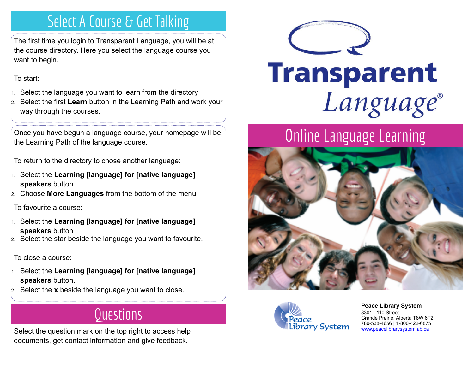# Select A Course & Get Talking

The first time you login to Transparent Language, you will be at the course directory. Here you select the language course you want to begin.

To start:

- 1. Select the language you want to learn from the directory
- 2. Select the first **Learn** button in the Learning Path and work your way through the courses.

Once you have begun a language course, your homepage will be the Learning Path of the language course.

To return to the directory to chose another language:

- 1. Select the **Learning [language] for [native language] speakers** button
- 2. Choose **More Languages** from the bottom of the menu.

To favourite a course:

- 1. Select the **Learning [language] for [native language] speakers** button
- 2. Select the star beside the language you want to favourite.

#### To close a course:

- 1. Select the **Learning [language] for [native language] speakers** button.
- 2. Select the **x** beside the language you want to close.

# Questions

Select the question mark on the top right to access help documents, get contact information and give feedback.



# **Transparent** Language®

# Online Language Learning





**[P](http://4la.co/1KCH22)eace Library System** [8](http://4la.co/1KCH22)301 - 110 Street Grande Prairie, Alberta T8W 6T2 780-538-4656 | 1-800-422-6875 [www.peacelibrarysystem.ab.ca](http://4la.co/1KCH22)